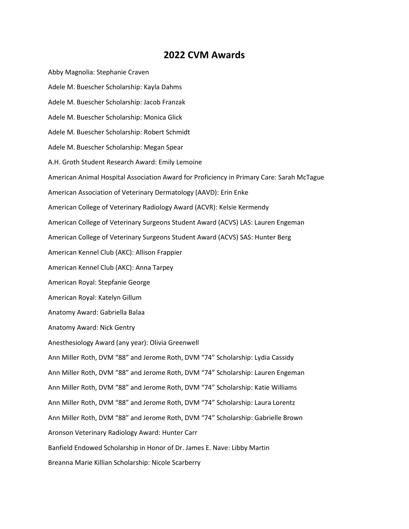## **2022 CVM Awards**

Abby Magnolia: Stephanie Craven Adele M. Buescher Scholarship: Kayla Dahms Adele M. Buescher Scholarship: Jacob Franzak Adele M. Buescher Scholarship: Monica Glick Adele M. Buescher Scholarship: Robert Schmidt Adele M. Buescher Scholarship: Megan Spear A.H. Groth Student Research Award: Emily Lemoine American Animal Hospital Association Award for Proficiency in Primary Care: Sarah McTague American Association of Veterinary Dermatology (AAVD): Erin Enke American College of Veterinary Radiology Award (ACVR): Kelsie Kermendy American College of Veterinary Surgeons Student Award (ACVS) LAS: Lauren Engeman American College of Veterinary Surgeons Student Award (ACVS) SAS: Hunter Berg American Kennel Club (AKC): Allison Frappier American Kennel Club (AKC): Anna Tarpey American Royal: Stepfanie George American Royal: Katelyn Gillum Anatomy Award: Gabriella Balaa Anatomy Award: Nick Gentry Anesthesiology Award (any year): Olivia Greenwell Ann Miller Roth, DVM "88" and Jerome Roth, DVM "74" Scholarship: Lydia Cassidy Ann Miller Roth, DVM "88" and Jerome Roth, DVM "74" Scholarship: Lauren Engeman Ann Miller Roth, DVM "88" and Jerome Roth, DVM "74" Scholarship: Katie Williams Ann Miller Roth, DVM "88" and Jerome Roth, DVM "74" Scholarship: Laura Lorentz Ann Miller Roth, DVM "88" and Jerome Roth, DVM "74" Scholarship: Gabrielle Brown Aronson Veterinary Radiology Award: Hunter Carr Banfield Endowed Scholarship in Honor of Dr. James E. Nave: Libby Martin Breanna Marie Killian Scholarship: Nicole Scarberry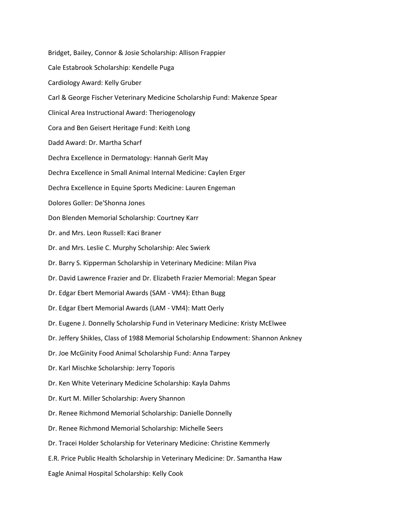Bridget, Bailey, Connor & Josie Scholarship: Allison Frappier Cale Estabrook Scholarship: Kendelle Puga Cardiology Award: Kelly Gruber Carl & George Fischer Veterinary Medicine Scholarship Fund: Makenze Spear Clinical Area Instructional Award: Theriogenology Cora and Ben Geisert Heritage Fund: Keith Long Dadd Award: Dr. Martha Scharf Dechra Excellence in Dermatology: Hannah Gerlt May Dechra Excellence in Small Animal Internal Medicine: Caylen Erger Dechra Excellence in Equine Sports Medicine: Lauren Engeman Dolores Goller: De'Shonna Jones Don Blenden Memorial Scholarship: Courtney Karr Dr. and Mrs. Leon Russell: Kaci Braner Dr. and Mrs. Leslie C. Murphy Scholarship: Alec Swierk Dr. Barry S. Kipperman Scholarship in Veterinary Medicine: Milan Piva Dr. David Lawrence Frazier and Dr. Elizabeth Frazier Memorial: Megan Spear Dr. Edgar Ebert Memorial Awards (SAM - VM4): Ethan Bugg Dr. Edgar Ebert Memorial Awards (LAM - VM4): Matt Oerly Dr. Eugene J. Donnelly Scholarship Fund in Veterinary Medicine: Kristy McElwee Dr. Jeffery Shikles, Class of 1988 Memorial Scholarship Endowment: Shannon Ankney Dr. Joe McGinity Food Animal Scholarship Fund: Anna Tarpey Dr. Karl Mischke Scholarship: Jerry Toporis Dr. Ken White Veterinary Medicine Scholarship: Kayla Dahms Dr. Kurt M. Miller Scholarship: Avery Shannon Dr. Renee Richmond Memorial Scholarship: Danielle Donnelly Dr. Renee Richmond Memorial Scholarship: Michelle Seers Dr. Tracei Holder Scholarship for Veterinary Medicine: Christine Kemmerly E.R. Price Public Health Scholarship in Veterinary Medicine: Dr. Samantha Haw Eagle Animal Hospital Scholarship: Kelly Cook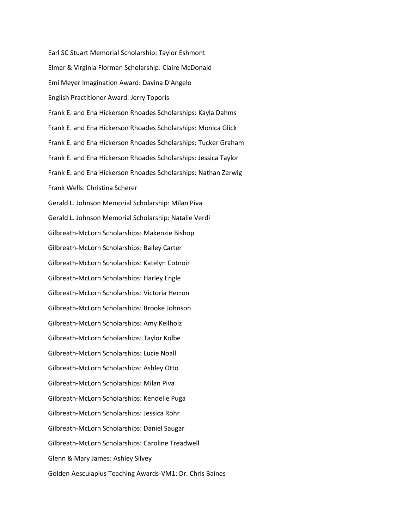Earl SC Stuart Memorial Scholarship: Taylor Eshmont Elmer & Virginia Florman Scholarship: Claire McDonald Emi Meyer Imagination Award: Davina D'Angelo English Practitioner Award: Jerry Toporis Frank E. and Ena Hickerson Rhoades Scholarships: Kayla Dahms Frank E. and Ena Hickerson Rhoades Scholarships: Monica Glick Frank E. and Ena Hickerson Rhoades Scholarships: Tucker Graham Frank E. and Ena Hickerson Rhoades Scholarships: Jessica Taylor Frank E. and Ena Hickerson Rhoades Scholarships: Nathan Zerwig Frank Wells: Christina Scherer Gerald L. Johnson Memorial Scholarship: Milan Piva Gerald L. Johnson Memorial Scholarship: Natalie Verdi Gilbreath-McLorn Scholarships: Makenzie Bishop Gilbreath-McLorn Scholarships: Bailey Carter Gilbreath-McLorn Scholarships: Katelyn Cotnoir Gilbreath-McLorn Scholarships: Harley Engle Gilbreath-McLorn Scholarships: Victoria Herron Gilbreath-McLorn Scholarships: Brooke Johnson Gilbreath-McLorn Scholarships: Amy Keilholz Gilbreath-McLorn Scholarships: Taylor Kolbe Gilbreath-McLorn Scholarships: Lucie Noall Gilbreath-McLorn Scholarships: Ashley Otto Gilbreath-McLorn Scholarships: Milan Piva Gilbreath-McLorn Scholarships: Kendelle Puga Gilbreath-McLorn Scholarships: Jessica Rohr Gilbreath-McLorn Scholarships: Daniel Saugar Gilbreath-McLorn Scholarships: Caroline Treadwell Glenn & Mary James: Ashley Silvey Golden Aesculapius Teaching Awards-VM1: Dr. Chris Baines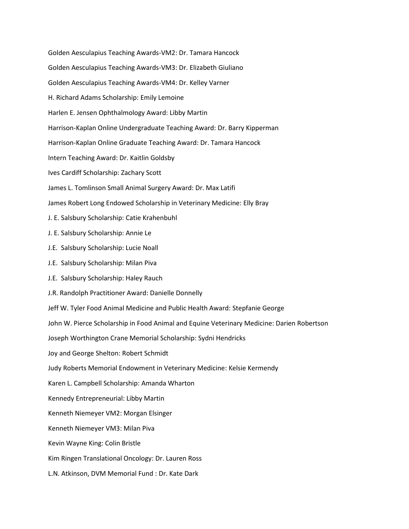Golden Aesculapius Teaching Awards-VM2: Dr. Tamara Hancock Golden Aesculapius Teaching Awards-VM3: Dr. Elizabeth Giuliano Golden Aesculapius Teaching Awards-VM4: Dr. Kelley Varner H. Richard Adams Scholarship: Emily Lemoine Harlen E. Jensen Ophthalmology Award: Libby Martin Harrison-Kaplan Online Undergraduate Teaching Award: Dr. Barry Kipperman Harrison-Kaplan Online Graduate Teaching Award: Dr. Tamara Hancock Intern Teaching Award: Dr. Kaitlin Goldsby Ives Cardiff Scholarship: Zachary Scott James L. Tomlinson Small Animal Surgery Award: Dr. Max Latifi James Robert Long Endowed Scholarship in Veterinary Medicine: Elly Bray J. E. Salsbury Scholarship: Catie Krahenbuhl J. E. Salsbury Scholarship: Annie Le J.E. Salsbury Scholarship: Lucie Noall J.E. Salsbury Scholarship: Milan Piva J.E. Salsbury Scholarship: Haley Rauch J.R. Randolph Practitioner Award: Danielle Donnelly Jeff W. Tyler Food Animal Medicine and Public Health Award: Stepfanie George John W. Pierce Scholarship in Food Animal and Equine Veterinary Medicine: Darien Robertson Joseph Worthington Crane Memorial Scholarship: Sydni Hendricks Joy and George Shelton: Robert Schmidt Judy Roberts Memorial Endowment in Veterinary Medicine: Kelsie Kermendy Karen L. Campbell Scholarship: Amanda Wharton Kennedy Entrepreneurial: Libby Martin Kenneth Niemeyer VM2: Morgan Elsinger Kenneth Niemeyer VM3: Milan Piva Kevin Wayne King: Colin Bristle Kim Ringen Translational Oncology: Dr. Lauren Ross L.N. Atkinson, DVM Memorial Fund : Dr. Kate Dark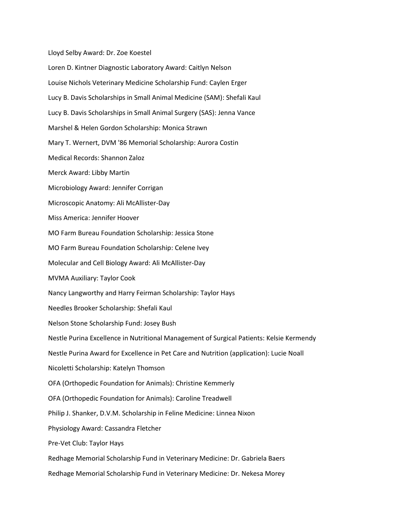Lloyd Selby Award: Dr. Zoe Koestel

Loren D. Kintner Diagnostic Laboratory Award: Caitlyn Nelson Louise Nichols Veterinary Medicine Scholarship Fund: Caylen Erger Lucy B. Davis Scholarships in Small Animal Medicine (SAM): Shefali Kaul Lucy B. Davis Scholarships in Small Animal Surgery (SAS): Jenna Vance Marshel & Helen Gordon Scholarship: Monica Strawn Mary T. Wernert, DVM '86 Memorial Scholarship: Aurora Costin Medical Records: Shannon Zaloz Merck Award: Libby Martin Microbiology Award: Jennifer Corrigan Microscopic Anatomy: Ali McAllister-Day Miss America: Jennifer Hoover MO Farm Bureau Foundation Scholarship: Jessica Stone MO Farm Bureau Foundation Scholarship: Celene Ivey Molecular and Cell Biology Award: Ali McAllister-Day MVMA Auxiliary: Taylor Cook Nancy Langworthy and Harry Feirman Scholarship: Taylor Hays Needles Brooker Scholarship: Shefali Kaul Nelson Stone Scholarship Fund: Josey Bush Nestle Purina Excellence in Nutritional Management of Surgical Patients: Kelsie Kermendy Nestle Purina Award for Excellence in Pet Care and Nutrition (application): Lucie Noall Nicoletti Scholarship: Katelyn Thomson OFA (Orthopedic Foundation for Animals): Christine Kemmerly OFA (Orthopedic Foundation for Animals): Caroline Treadwell Philip J. Shanker, D.V.M. Scholarship in Feline Medicine: Linnea Nixon Physiology Award: Cassandra Fletcher Pre-Vet Club: Taylor Hays Redhage Memorial Scholarship Fund in Veterinary Medicine: Dr. Gabriela Baers Redhage Memorial Scholarship Fund in Veterinary Medicine: Dr. Nekesa Morey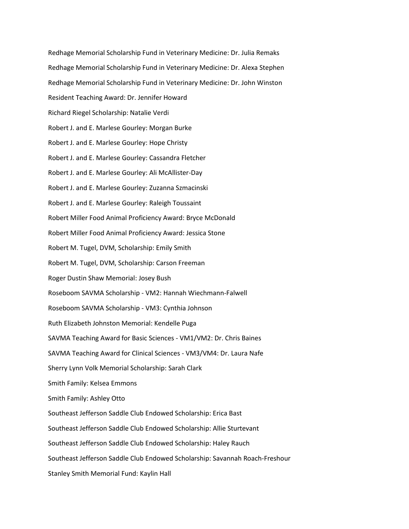Redhage Memorial Scholarship Fund in Veterinary Medicine: Dr. Julia Remaks Redhage Memorial Scholarship Fund in Veterinary Medicine: Dr. Alexa Stephen Redhage Memorial Scholarship Fund in Veterinary Medicine: Dr. John Winston Resident Teaching Award: Dr. Jennifer Howard Richard Riegel Scholarship: Natalie Verdi Robert J. and E. Marlese Gourley: Morgan Burke Robert J. and E. Marlese Gourley: Hope Christy Robert J. and E. Marlese Gourley: Cassandra Fletcher Robert J. and E. Marlese Gourley: Ali McAllister-Day Robert J. and E. Marlese Gourley: Zuzanna Szmacinski Robert J. and E. Marlese Gourley: Raleigh Toussaint Robert Miller Food Animal Proficiency Award: Bryce McDonald Robert Miller Food Animal Proficiency Award: Jessica Stone Robert M. Tugel, DVM, Scholarship: Emily Smith Robert M. Tugel, DVM, Scholarship: Carson Freeman Roger Dustin Shaw Memorial: Josey Bush Roseboom SAVMA Scholarship - VM2: Hannah Wiechmann-Falwell Roseboom SAVMA Scholarship - VM3: Cynthia Johnson Ruth Elizabeth Johnston Memorial: Kendelle Puga SAVMA Teaching Award for Basic Sciences - VM1/VM2: Dr. Chris Baines SAVMA Teaching Award for Clinical Sciences - VM3/VM4: Dr. Laura Nafe Sherry Lynn Volk Memorial Scholarship: Sarah Clark Smith Family: Kelsea Emmons Smith Family: Ashley Otto Southeast Jefferson Saddle Club Endowed Scholarship: Erica Bast Southeast Jefferson Saddle Club Endowed Scholarship: Allie Sturtevant Southeast Jefferson Saddle Club Endowed Scholarship: Haley Rauch Southeast Jefferson Saddle Club Endowed Scholarship: Savannah Roach-Freshour Stanley Smith Memorial Fund: Kaylin Hall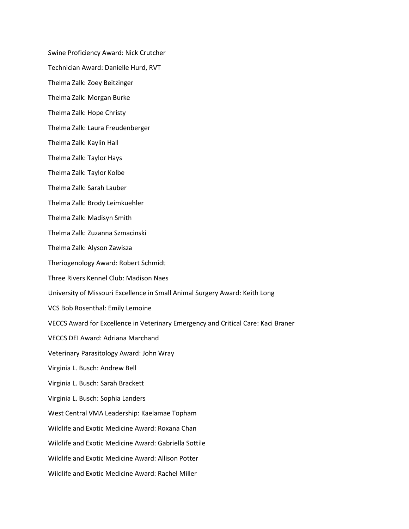Swine Proficiency Award: Nick Crutcher

Technician Award: Danielle Hurd, RVT

Thelma Zalk: Zoey Beitzinger

Thelma Zalk: Morgan Burke

Thelma Zalk: Hope Christy

Thelma Zalk: Laura Freudenberger

Thelma Zalk: Kaylin Hall

Thelma Zalk: Taylor Hays

Thelma Zalk: Taylor Kolbe

Thelma Zalk: Sarah Lauber

Thelma Zalk: Brody Leimkuehler

Thelma Zalk: Madisyn Smith

Thelma Zalk: Zuzanna Szmacinski

Thelma Zalk: Alyson Zawisza

Theriogenology Award: Robert Schmidt

Three Rivers Kennel Club: Madison Naes

University of Missouri Excellence in Small Animal Surgery Award: Keith Long

VCS Bob Rosenthal: Emily Lemoine

VECCS Award for Excellence in Veterinary Emergency and Critical Care: Kaci Braner

VECCS DEI Award: Adriana Marchand

Veterinary Parasitology Award: John Wray

Virginia L. Busch: Andrew Bell

Virginia L. Busch: Sarah Brackett

Virginia L. Busch: Sophia Landers

West Central VMA Leadership: Kaelamae Topham

Wildlife and Exotic Medicine Award: Roxana Chan

Wildlife and Exotic Medicine Award: Gabriella Sottile

Wildlife and Exotic Medicine Award: Allison Potter

Wildlife and Exotic Medicine Award: Rachel Miller